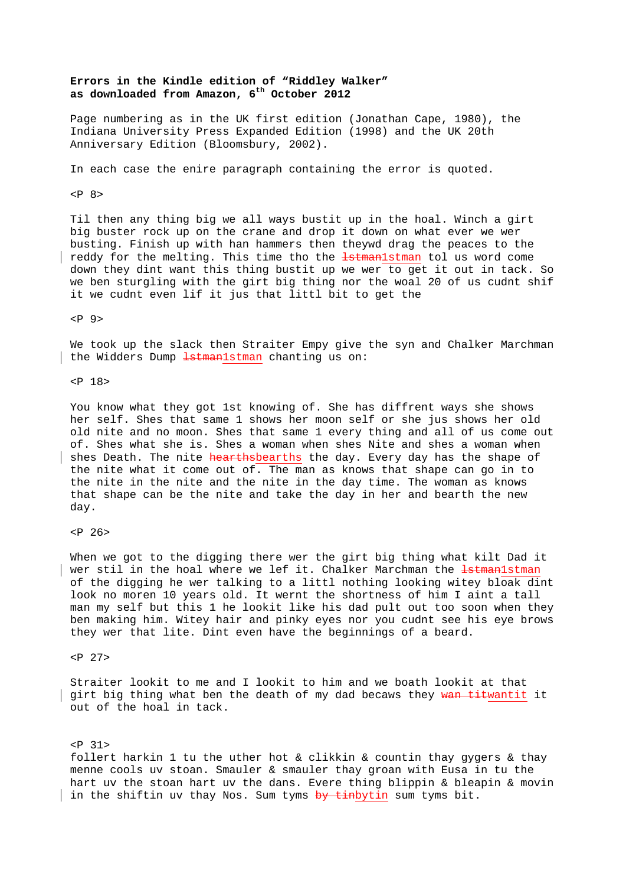# **Errors in the Kindle edition of "Riddley Walker" as downloaded from Amazon, 6th October 2012**

Page numbering as in the UK first edition (Jonathan Cape, 1980), the Indiana University Press Expanded Edition (1998) and the UK 20th Anniversary Edition (Bloomsbury, 2002).

In each case the enire paragraph containing the error is quoted.

<P 8>

Til then any thing big we all ways bustit up in the hoal. Winch a girt big buster rock up on the crane and drop it down on what ever we wer busting. Finish up with han hammers then theywd drag the peaces to the reddy for the melting. This time tho the  $\frac{1}{100}$  the the word come down they dint want this thing bustit up we wer to get it out in tack. So we ben sturgling with the girt big thing nor the woal 20 of us cudnt shif it we cudnt even lif it jus that littl bit to get the

 $\langle P \ 9 \rangle$ 

We took up the slack then Straiter Empy give the syn and Chalker Marchman the Widders Dump lstmanlstman chanting us on:

<P 18>

You know what they got 1st knowing of. She has diffrent ways she shows her self. Shes that same 1 shows her moon self or she jus shows her old old nite and no moon. Shes that same 1 every thing and all of us come out of. Shes what she is. Shes a woman when shes Nite and shes a woman when shes Death. The nite hearthsbearths the day. Every day has the shape of the nite what it come out of. The man as knows that shape can go in to the nite in the nite and the nite in the day time. The woman as knows that shape can be the nite and take the day in her and bearth the new day.

<P 26>

When we got to the digging there wer the girt big thing what kilt Dad it  $\mid$  wer stil in the hoal where we lef it. Chalker Marchman the <del>lstman</del>lstman of the digging he wer talking to a littl nothing looking witey bloak dint look no moren 10 years old. It wernt the shortness of him I aint a tall man my self but this 1 he lookit like his dad pult out too soon when they ben making him. Witey hair and pinky eyes nor you cudnt see his eye brows they wer that lite. Dint even have the beginnings of a beard.

 $< P 27$ 

Straiter lookit to me and I lookit to him and we boath lookit at that girt big thing what ben the death of my dad becaws they wan titwantit it out of the hoal in tack.

 $\langle P \ 31 \rangle$ 

follert harkin 1 tu the uther hot & clikkin & countin thay gygers & thay menne cools uv stoan. Smauler & smauler thay groan with Eusa in tu the hart uv the stoan hart uv the dans. Evere thing blippin & bleapin & movin in the shiftin uv thay Nos. Sum tyms  $\frac{1}{2}$  tinbytin sum tyms bit.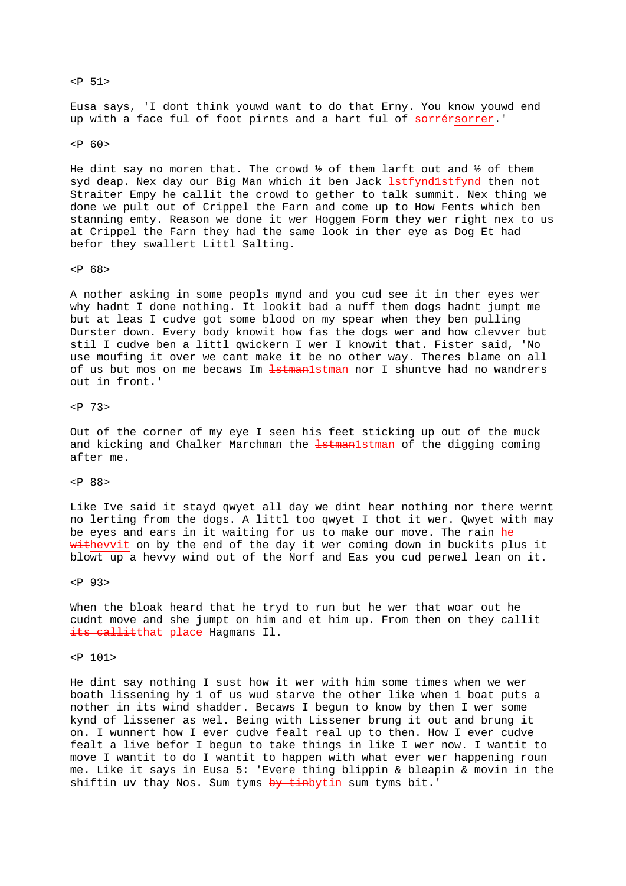<P 51>

Eusa says, 'I dont think youwd want to do that Erny. You know youwd end up with a face ful of foot pirnts and a hart ful of sorrérsorrer.'

 $\langle P 60 \rangle$ 

He dint say no moren that. The crowd  $\frac{1}{2}$  of them larft out and  $\frac{1}{2}$  of them syd deap. Nex day our Big Man which it ben Jack lstfyndlstfynd then not Straiter Empy he callit the crowd to gether to talk summit. Nex thing we done we pult out of Crippel the Farn and come up to How Fents which ben stanning emty. Reason we done it wer Hoggem Form they wer right nex to us at Crippel the Farn they had the same look in ther eye as Dog Et had befor they swallert Littl Salting.

<P 68>

A nother asking in some peopls mynd and you cud see it in ther eyes wer why hadnt I done nothing. It lookit bad a nuff them dogs hadnt jumpt me but at leas I cudve got some blood on my spear when they ben pulling Durster down. Every body knowit how fas the dogs wer and how clevver but stil I cudve ben a littl qwickern I wer I knowit that. Fister said, 'No use moufing it over we cant make it be no other way. Theres blame on all of us but mos on me becaws Im <del>lstman</del>lstman nor I shuntve had no wandrers out in front.'

<P 73>

Out of the corner of my eye I seen his feet sticking up out of the muck and kicking and Chalker Marchman the lstmanlstman of the digging coming after me.

<P 88>

Like Ive said it stayd qwyet all day we dint hear nothing nor there wernt no lerting from the dogs. A littl too qwyet I thot it wer. Qwyet with may be eyes and ears in it waiting for us to make our move. The rain he withevvit on by the end of the day it wer coming down in buckits plus it blowt up a hevvy wind out of the Norf and Eas you cud perwel lean on it.

 $\langle P \ 93 \rangle$ 

When the bloak heard that he tryd to run but he wer that woar out he cudnt move and she jumpt on him and et him up. From then on they callit its callitthat place Hagmans Il.

<P 101>

He dint say nothing I sust how it wer with him some times when we wer boath lissening hy 1 of us wud starve the other like when 1 boat puts a nother in its wind shadder. Becaws I begun to know by then I wer some kynd of lissener as wel. Being with Lissener brung it out and brung it on. I wunnert how I ever cudve fealt real up to then. How I ever cudve fealt a live befor I begun to take things in like I wer now. I wantit to move I wantit to do I wantit to happen with what ever wer happening roun me. Like it says in Eusa 5: 'Evere thing blippin & bleapin & movin in the shiftin uv thay Nos. Sum tyms by tinbytin sum tyms bit.'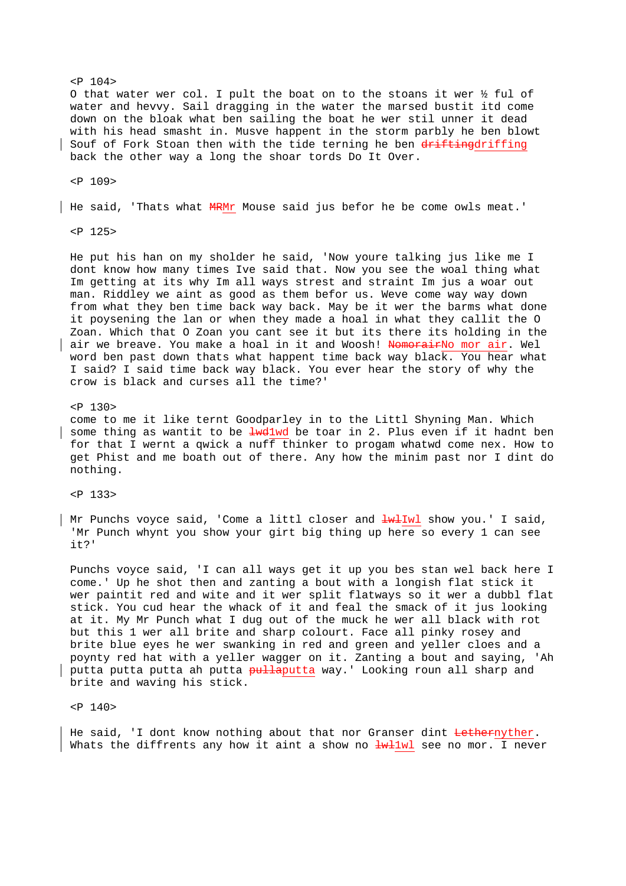<P 104> O that water wer col. I pult the boat on to the stoans it wer ½ ful of water and hevvy. Sail dragging in the water the marsed bustit itd come down on the bloak what ben sailing the boat he wer stil unner it dead with his head smasht in. Musve happent in the storm parbly he ben blowt Souf of Fork Stoan then with the tide terning he ben driftingdriffing back the other way a long the shoar tords Do It Over.

<P 109>

He said, 'Thats what MRMr Mouse said jus befor he be come owls meat.'

<P 125>

He put his han on my sholder he said, 'Now youre talking jus like me I dont know how many times Ive said that. Now you see the woal thing what Im getting at its why Im all ways strest and straint Im jus a woar out man. Riddley we aint as good as them befor us. Weve come way way down from what they ben time back way back. May be it wer the barms what done it poysening the lan or when they made a hoal in what they callit the O Zoan. Which that O Zoan you cant see it but its there its holding in the  $\mid$  air we breave. You make a hoal in it and Woosh! <del>Nomorair</del>No mor air. Wel word ben past down thats what happent time back way black. You hear what I said? I said time back way black. You ever hear the story of why the crow is black and curses all the time?'

<P 130> come to me it like ternt Goodparley in to the Littl Shyning Man. Which  $|$  some thing as wantit to be  $\frac{1}{2}$ wdlwd be toar in 2. Plus even if it hadnt ben for that I wernt a qwick a nuff thinker to progam whatwd come nex. How to get Phist and me boath out of there. Any how the minim past nor I dint do nothing.

<P 133>

| Mr Punchs voyce said, 'Come a littl closer and  $\frac{1}{w+1}$ Wl show you.' I said, 'Mr Punch whynt you show your girt big thing up here so every 1 can see it?'

Punchs voyce said, 'I can all ways get it up you bes stan wel back here I come.' Up he shot then and zanting a bout with a longish flat stick it wer paintit red and wite and it wer split flatways so it wer a dubbl flat stick. You cud hear the whack of it and feal the smack of it jus looking at it. My Mr Punch what I dug out of the muck he wer all black with rot but this 1 wer all brite and sharp colourt. Face all pinky rosey and brite blue eyes he wer swanking in red and green and yeller cloes and a poynty red hat with a yeller wagger on it. Zanting a bout and saying, 'Ah putta putta putta ah putta <del>pulla</del>putta way.' Looking roun all sharp and brite and waving his stick.

<P 140>

He said, 'I dont know nothing about that nor Granser dint <del>Lether</del>nyther. Whats the diffrents any how it aint a show no  $\frac{1}{w+1}$ wl see no mor. I never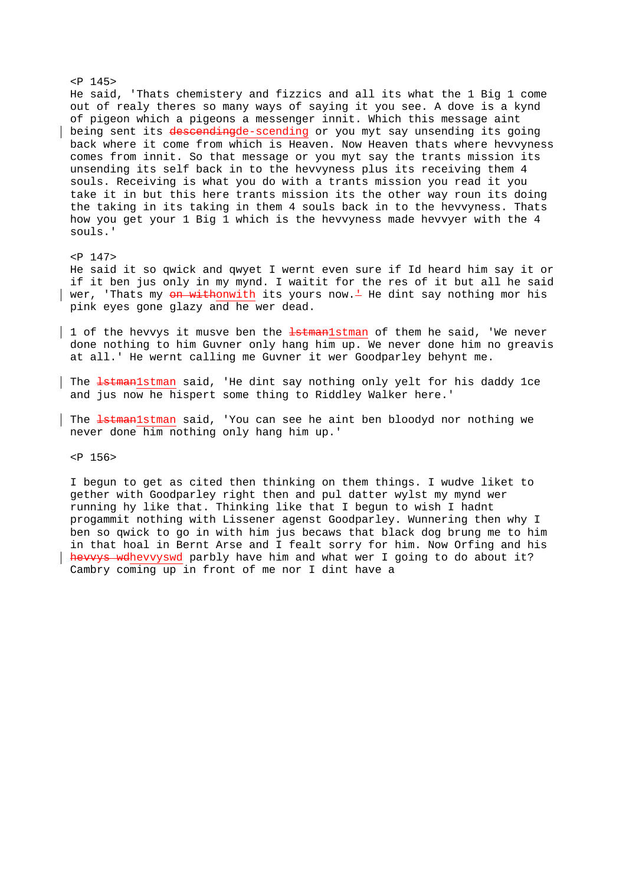He said, 'Thats chemistery and fizzics and all its what the 1 Big 1 come out of realy theres so many ways of saying it you see. A dove is a kynd of pigeon which a pigeons a messenger innit. Which this message aint being sent its descendingde-scending or you myt say unsending its going back where it come from which is Heaven. Now Heaven thats where hevvyness comes from innit. So that message or you myt say the trants mission its unsending its self back in to the hevvyness plus its receiving them 4 souls. Receiving is what you do with a trants mission you read it you take it in but this here trants mission its the other way roun its doing the taking in its taking in them 4 souls back in to the hevvyness. Thats how you get your 1 Big 1 which is the hevvyness made hevvyer with the 4 souls.'

 $< P$  147>

He said it so qwick and qwyet I wernt even sure if Id heard him say it or if it ben jus only in my mynd. I waitit for the res of it but all he said | wer, 'Thats my <del>on with</del>onwith its yours now.<del>'</del> He dint say nothing mor his pink eyes gone glazy and he wer dead.

 $\vert$  1 of the hevvys it musve ben the  $\frac{1}{3}$  is the set of them he said, 'We never done nothing to him Guvner only hang him up. We never done him no greavis at all.' He wernt calling me Guvner it wer Goodparley behynt me.

The <del>lstman</del>1stman said, 'He dint say nothing only yelt for his daddy 1ce and jus now he hispert some thing to Riddley Walker here.'

The <del>lstman</del>1stman said, 'You can see he aint ben bloodyd nor nothing we never done him nothing only hang him up.'

<P 156>

I begun to get as cited then thinking on them things. I wudve liket to gether with Goodparley right then and pul datter wylst my mynd wer running hy like that. Thinking like that I begun to wish I hadnt progammit nothing with Lissener agenst Goodparley. Wunnering then why I ben so qwick to go in with him jus becaws that black dog brung me to him in that hoal in Bernt Arse and I fealt sorry for him. Now Orfing and his hevvys wdhevvyswd parbly have him and what wer I going to do about it? Cambry coming up in front of me nor I dint have a

<P 145>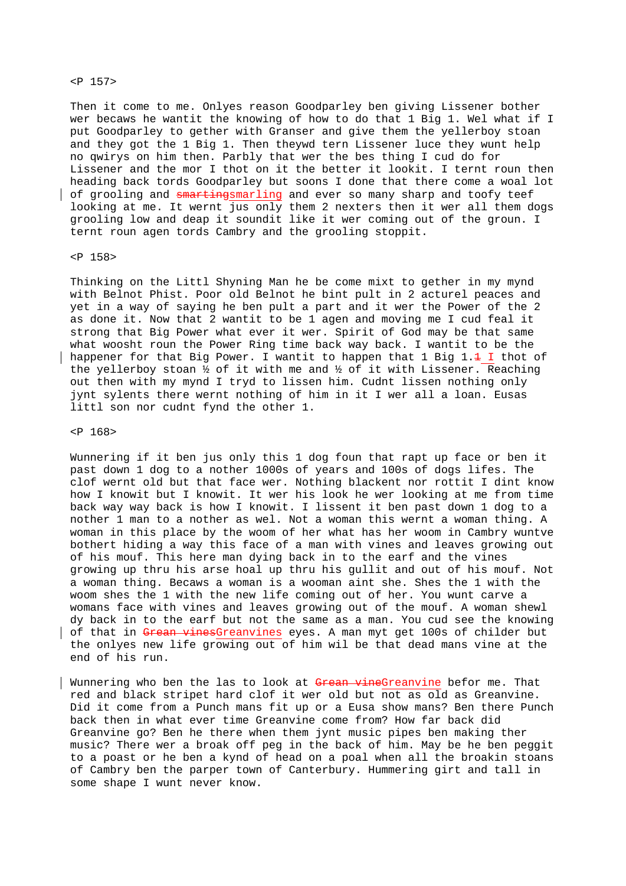#### <P 157>

Then it come to me. Onlyes reason Goodparley ben giving Lissener bother wer becaws he wantit the knowing of how to do that 1 Big 1. Wel what if I put Goodparley to gether with Granser and give them the yellerboy stoan and they got the 1 Big 1. Then theywd tern Lissener luce they wunt help no qwirys on him then. Parbly that wer the bes thing I cud do for Lissener and the mor I thot on it the better it lookit. I ternt roun then heading back tords Goodparley but soons I done that there come a woal lot of grooling and smartingsmarling and ever so many sharp and toofy teef looking at me. It wernt jus only them 2 nexters then it wer all them dogs grooling low and deap it soundit like it wer coming out of the groun. I ternt roun agen tords Cambry and the grooling stoppit.

#### <P 158>

Thinking on the Littl Shyning Man he be come mixt to gether in my mynd with Belnot Phist. Poor old Belnot he bint pult in 2 acturel peaces and yet in a way of saying he ben pult a part and it wer the Power of the 2 as done it. Now that 2 wantit to be 1 agen and moving me I cud feal it strong that Big Power what ever it wer. Spirit of God may be that same what woosht roun the Power Ring time back way back. I wantit to be the | happener for that Big Power. I wantit to happen that 1 Big 1. $\pm$  I thot of the yellerboy stoan  $\frac{1}{2}$  of it with me and  $\frac{1}{2}$  of it with Lissener. Reaching out then with my mynd I tryd to lissen him. Cudnt lissen nothing only jynt sylents there wernt nothing of him in it I wer all a loan. Eusas littl son nor cudnt fynd the other 1.

### <P 168>

Wunnering if it ben jus only this 1 dog foun that rapt up face or ben it past down 1 dog to a nother 1000s of years and 100s of dogs lifes. The clof wernt old but that face wer. Nothing blackent nor rottit I dint know how I knowit but I knowit. It wer his look he wer looking at me from time back way way back is how I knowit. I lissent it ben past down 1 dog to a nother 1 man to a nother as wel. Not a woman this wernt a woman thing. A woman in this place by the woom of her what has her woom in Cambry wuntve bothert hiding a way this face of a man with vines and leaves growing out of his mouf. This here man dying back in to the earf and the vines growing up thru his arse hoal up thru his gullit and out of his mouf. Not a woman thing. Becaws a woman is a wooman aint she. Shes the 1 with the woom shes the 1 with the new life coming out of her. You wunt carve a womans face with vines and leaves growing out of the mouf. A woman shewl dy back in to the earf but not the same as a man. You cud see the knowing of that in Grean vinesGreanvines eyes. A man myt get 100s of childer but the onlyes new life growing out of him wil be that dead mans vine at the end of his run.

Wunnering who ben the las to look at <del>Grean vine</del>Greanvine befor me. That red and black stripet hard clof it wer old but not as old as Greanvine. Did it come from a Punch mans fit up or a Eusa show mans? Ben there Punch back then in what ever time Greanvine come from? How far back did Greanvine go? Ben he there when them jynt music pipes ben making ther music? There wer a broak off peg in the back of him. May be he ben peggit to a poast or he ben a kynd of head on a poal when all the broakin stoans of Cambry ben the parper town of Canterbury. Hummering girt and tall in some shape I wunt never know.